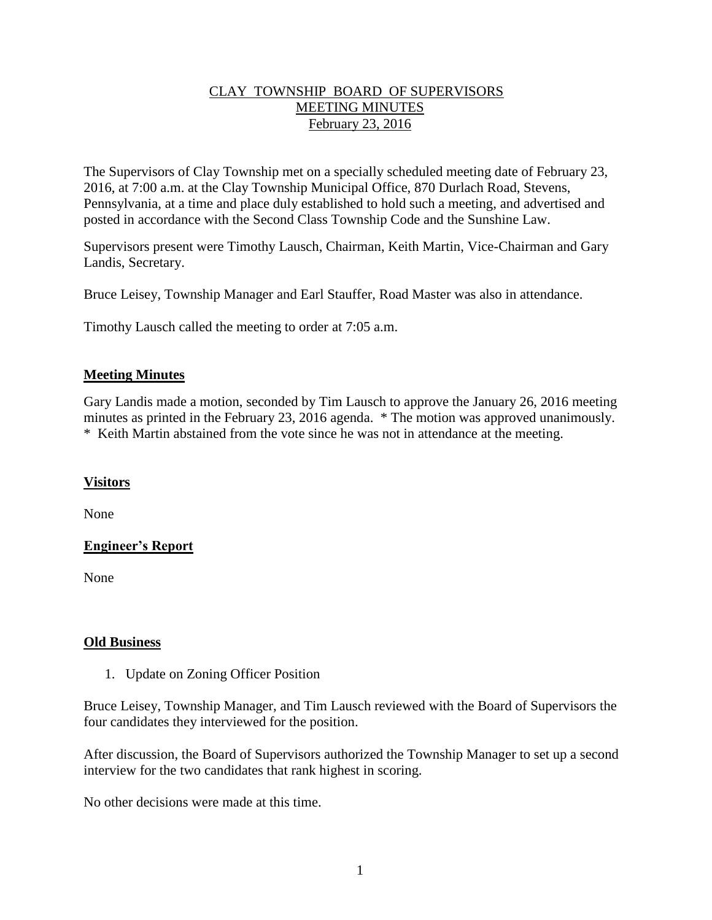### CLAY TOWNSHIP BOARD OF SUPERVISORS MEETING MINUTES February 23, 2016

The Supervisors of Clay Township met on a specially scheduled meeting date of February 23, 2016, at 7:00 a.m. at the Clay Township Municipal Office, 870 Durlach Road, Stevens, Pennsylvania, at a time and place duly established to hold such a meeting, and advertised and posted in accordance with the Second Class Township Code and the Sunshine Law.

Supervisors present were Timothy Lausch, Chairman, Keith Martin, Vice-Chairman and Gary Landis, Secretary.

Bruce Leisey, Township Manager and Earl Stauffer, Road Master was also in attendance.

Timothy Lausch called the meeting to order at 7:05 a.m.

## **Meeting Minutes**

Gary Landis made a motion, seconded by Tim Lausch to approve the January 26, 2016 meeting minutes as printed in the February 23, 2016 agenda. \* The motion was approved unanimously. \* Keith Martin abstained from the vote since he was not in attendance at the meeting.

## **Visitors**

None

# **Engineer's Report**

None

## **Old Business**

1. Update on Zoning Officer Position

Bruce Leisey, Township Manager, and Tim Lausch reviewed with the Board of Supervisors the four candidates they interviewed for the position.

After discussion, the Board of Supervisors authorized the Township Manager to set up a second interview for the two candidates that rank highest in scoring.

No other decisions were made at this time.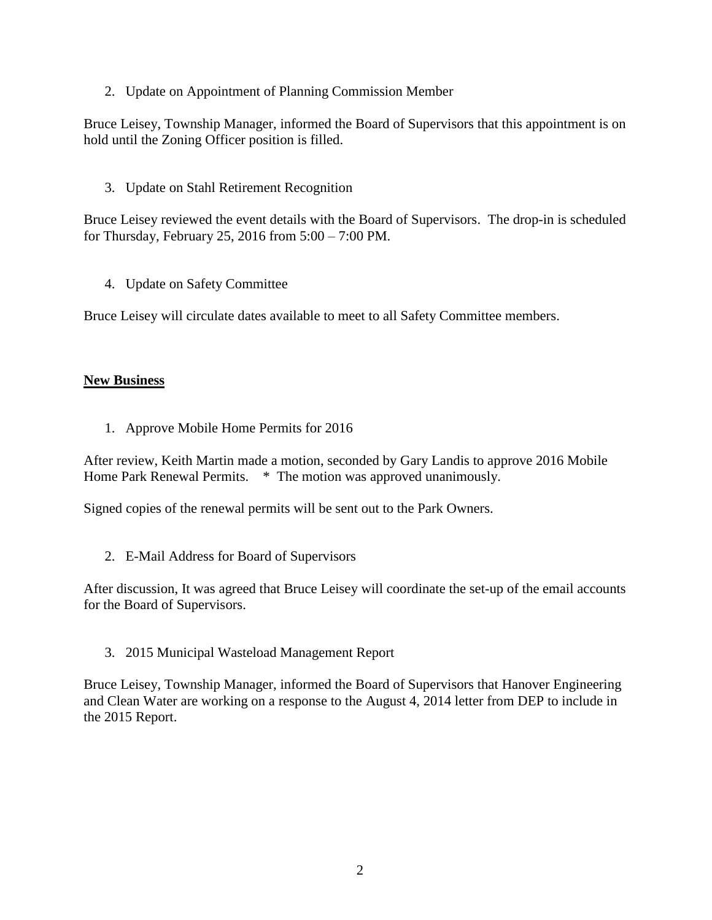2. Update on Appointment of Planning Commission Member

Bruce Leisey, Township Manager, informed the Board of Supervisors that this appointment is on hold until the Zoning Officer position is filled.

3. Update on Stahl Retirement Recognition

Bruce Leisey reviewed the event details with the Board of Supervisors. The drop-in is scheduled for Thursday, February 25, 2016 from 5:00 – 7:00 PM.

4. Update on Safety Committee

Bruce Leisey will circulate dates available to meet to all Safety Committee members.

#### **New Business**

1. Approve Mobile Home Permits for 2016

After review, Keith Martin made a motion, seconded by Gary Landis to approve 2016 Mobile Home Park Renewal Permits. \* The motion was approved unanimously.

Signed copies of the renewal permits will be sent out to the Park Owners.

2. E-Mail Address for Board of Supervisors

After discussion, It was agreed that Bruce Leisey will coordinate the set-up of the email accounts for the Board of Supervisors.

3. 2015 Municipal Wasteload Management Report

Bruce Leisey, Township Manager, informed the Board of Supervisors that Hanover Engineering and Clean Water are working on a response to the August 4, 2014 letter from DEP to include in the 2015 Report.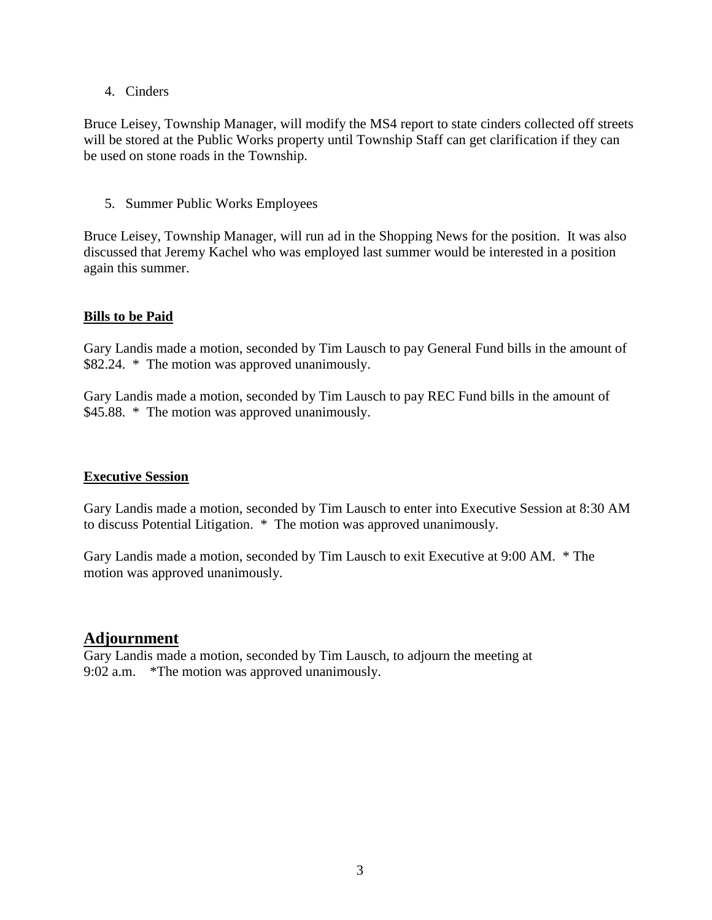#### 4. Cinders

Bruce Leisey, Township Manager, will modify the MS4 report to state cinders collected off streets will be stored at the Public Works property until Township Staff can get clarification if they can be used on stone roads in the Township.

### 5. Summer Public Works Employees

Bruce Leisey, Township Manager, will run ad in the Shopping News for the position. It was also discussed that Jeremy Kachel who was employed last summer would be interested in a position again this summer.

### **Bills to be Paid**

Gary Landis made a motion, seconded by Tim Lausch to pay General Fund bills in the amount of \$82.24. \* The motion was approved unanimously.

Gary Landis made a motion, seconded by Tim Lausch to pay REC Fund bills in the amount of \$45.88. \* The motion was approved unanimously.

#### **Executive Session**

Gary Landis made a motion, seconded by Tim Lausch to enter into Executive Session at 8:30 AM to discuss Potential Litigation. \* The motion was approved unanimously.

Gary Landis made a motion, seconded by Tim Lausch to exit Executive at 9:00 AM. \* The motion was approved unanimously.

# **Adjournment**

Gary Landis made a motion, seconded by Tim Lausch, to adjourn the meeting at 9:02 a.m. \*The motion was approved unanimously.